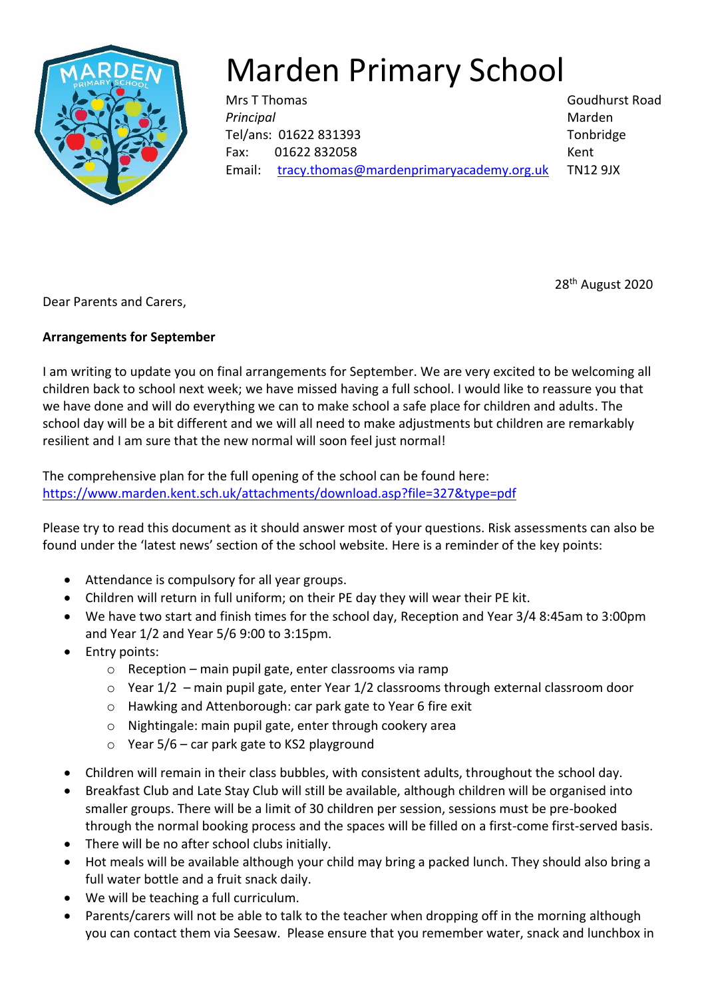

## Marden Primary School

Mrs T Thomas Goudhurst Road **Principal** Marden Tel/ans: 01622 831393 Tonbridge Fax: 01622 832058 Kent Email: [tracy.thomas@mardenprimaryacademy.org.uk](mailto:tracy.thomas@mardenprimaryacademy.org.uk) TN12 9JX

Dear Parents and Carers,

## **Arrangements for September**

I am writing to update you on final arrangements for September. We are very excited to be welcoming all children back to school next week; we have missed having a full school. I would like to reassure you that we have done and will do everything we can to make school a safe place for children and adults. The school day will be a bit different and we will all need to make adjustments but children are remarkably resilient and I am sure that the new normal will soon feel just normal!

The comprehensive plan for the full opening of the school can be found here: <https://www.marden.kent.sch.uk/attachments/download.asp?file=327&type=pdf>

Please try to read this document as it should answer most of your questions. Risk assessments can also be found under the 'latest news' section of the school website. Here is a reminder of the key points:

- Attendance is compulsory for all year groups.
- Children will return in full uniform; on their PE day they will wear their PE kit.
- We have two start and finish times for the school day, Reception and Year 3/4 8:45am to 3:00pm and Year 1/2 and Year 5/6 9:00 to 3:15pm.
- Entry points:
	- o Reception main pupil gate, enter classrooms via ramp
	- $\circ$  Year 1/2 main pupil gate, enter Year 1/2 classrooms through external classroom door
	- o Hawking and Attenborough: car park gate to Year 6 fire exit
	- o Nightingale: main pupil gate, enter through cookery area
	- $\circ$  Year 5/6 car park gate to KS2 playground
- Children will remain in their class bubbles, with consistent adults, throughout the school day.
- Breakfast Club and Late Stay Club will still be available, although children will be organised into smaller groups. There will be a limit of 30 children per session, sessions must be pre-booked through the normal booking process and the spaces will be filled on a first-come first-served basis.
- There will be no after school clubs initially.
- Hot meals will be available although your child may bring a packed lunch. They should also bring a full water bottle and a fruit snack daily.
- We will be teaching a full curriculum.
- Parents/carers will not be able to talk to the teacher when dropping off in the morning although you can contact them via Seesaw. Please ensure that you remember water, snack and lunchbox in

28th August 2020